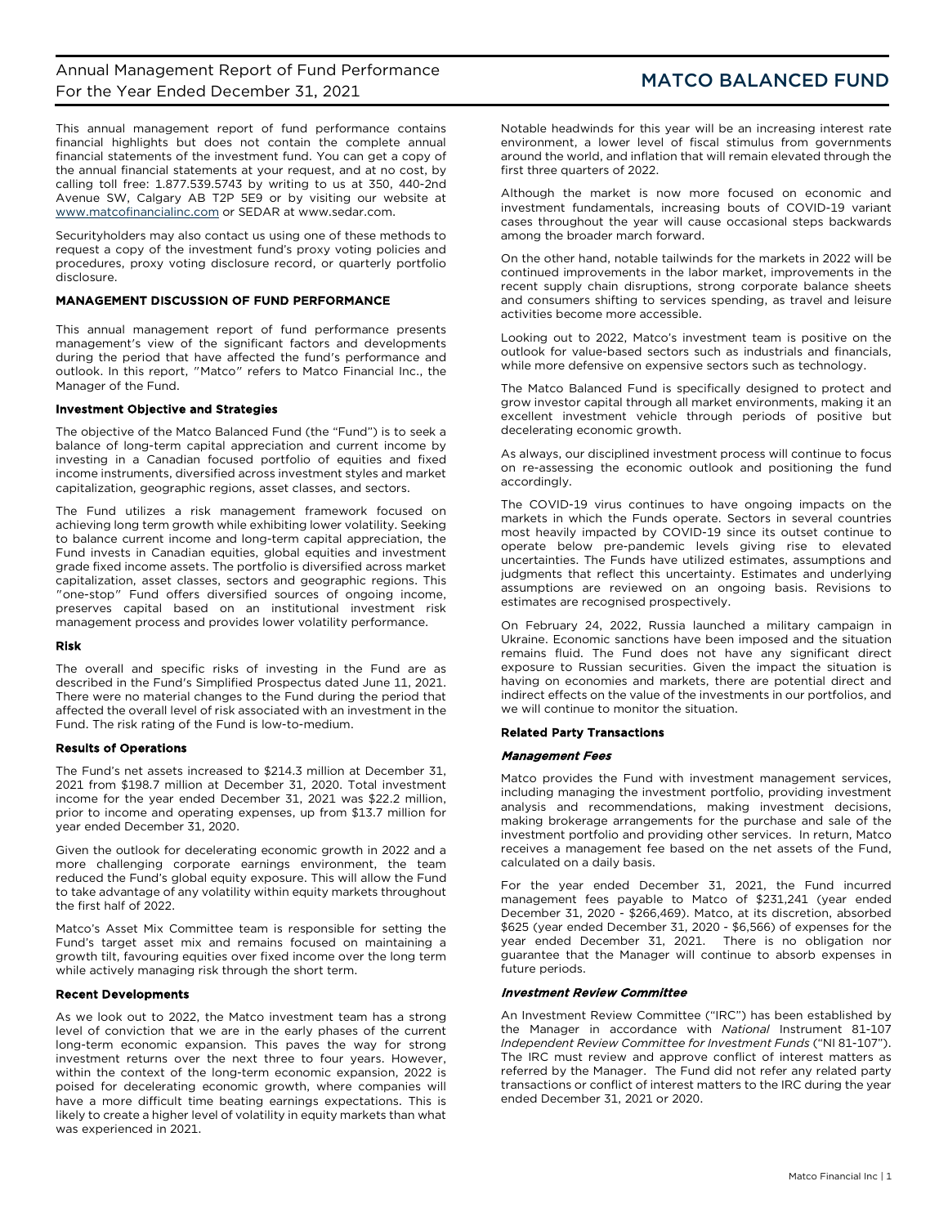This annual management report of fund performance contains financial highlights but does not contain the complete annual financial statements of the investment fund. You can get a copy of the annual financial statements at your request, and at no cost, by calling toll free: 1.877.539.5743 by writing to us at 350, 440-2nd Avenue SW, Calgary AB T2P 5E9 or by visiting our website at [www.matcofinancialinc.com](http://www.matcofinancialinc.com/) or SEDAR at www.sedar.com.

Securityholders may also contact us using one of these methods to request a copy of the investment fund's proxy voting policies and procedures, proxy voting disclosure record, or quarterly portfolio disclosure.

## MANAGEMENT DISCUSSION OF FUND PERFORMANCE

This annual management report of fund performance presents management's view of the significant factors and developments during the period that have affected the fund's performance and outlook. In this report, "Matco" refers to Matco Financial Inc., the Manager of the Fund.

## Investment Objective and Strategies

The objective of the Matco Balanced Fund (the "Fund") is to seek a balance of long-term capital appreciation and current income by investing in a Canadian focused portfolio of equities and fixed income instruments, diversified across investment styles and market capitalization, geographic regions, asset classes, and sectors.

The Fund utilizes a risk management framework focused on achieving long term growth while exhibiting lower volatility. Seeking to balance current income and long-term capital appreciation, the Fund invests in Canadian equities, global equities and investment grade fixed income assets. The portfolio is diversified across market capitalization, asset classes, sectors and geographic regions. This "one-stop" Fund offers diversified sources of ongoing income, preserves capital based on an institutional investment risk management process and provides lower volatility performance.

## Risk

The overall and specific risks of investing in the Fund are as described in the Fund's Simplified Prospectus dated June 11, 2021. There were no material changes to the Fund during the period that affected the overall level of risk associated with an investment in the Fund. The risk rating of the Fund is low-to-medium.

## Results of Operations

The Fund's net assets increased to \$214.3 million at December 31, 2021 from \$198.7 million at December 31, 2020. Total investment income for the year ended December 31, 2021 was \$22.2 million, prior to income and operating expenses, up from \$13.7 million for year ended December 31, 2020.

Given the outlook for decelerating economic growth in 2022 and a more challenging corporate earnings environment, the team reduced the Fund's global equity exposure. This will allow the Fund to take advantage of any volatility within equity markets throughout the first half of 2022.

Matco's Asset Mix Committee team is responsible for setting the Fund's target asset mix and remains focused on maintaining a growth tilt, favouring equities over fixed income over the long term while actively managing risk through the short term.

## Recent Developments

As we look out to 2022, the Matco investment team has a strong level of conviction that we are in the early phases of the current long-term economic expansion. This paves the way for strong investment returns over the next three to four years. However, within the context of the long-term economic expansion, 2022 is poised for decelerating economic growth, where companies will have a more difficult time beating earnings expectations. This is likely to create a higher level of volatility in equity markets than what was experienced in 2021.

Notable headwinds for this year will be an increasing interest rate environment, a lower level of fiscal stimulus from governments around the world, and inflation that will remain elevated through the first three quarters of 2022.

Although the market is now more focused on economic and investment fundamentals, increasing bouts of COVID-19 variant cases throughout the year will cause occasional steps backwards among the broader march forward.

On the other hand, notable tailwinds for the markets in 2022 will be continued improvements in the labor market, improvements in the recent supply chain disruptions, strong corporate balance sheets and consumers shifting to services spending, as travel and leisure activities become more accessible.

Looking out to 2022, Matco's investment team is positive on the outlook for value-based sectors such as industrials and financials, while more defensive on expensive sectors such as technology.

The Matco Balanced Fund is specifically designed to protect and grow investor capital through all market environments, making it an excellent investment vehicle through periods of positive but decelerating economic growth.

As always, our disciplined investment process will continue to focus on re-assessing the economic outlook and positioning the fund accordingly.

The COVID-19 virus continues to have ongoing impacts on the markets in which the Funds operate. Sectors in several countries most heavily impacted by COVID-19 since its outset continue to operate below pre-pandemic levels giving rise to elevated uncertainties. The Funds have utilized estimates, assumptions and judgments that reflect this uncertainty. Estimates and underlying assumptions are reviewed on an ongoing basis. Revisions to estimates are recognised prospectively.

On February 24, 2022, Russia launched a military campaign in Ukraine. Economic sanctions have been imposed and the situation remains fluid. The Fund does not have any significant direct exposure to Russian securities. Given the impact the situation is having on economies and markets, there are potential direct and indirect effects on the value of the investments in our portfolios, and we will continue to monitor the situation.

## Related Party Transactions

## Management Fees

Matco provides the Fund with investment management services, including managing the investment portfolio, providing investment analysis and recommendations, making investment decisions, making brokerage arrangements for the purchase and sale of the investment portfolio and providing other services. In return, Matco receives a management fee based on the net assets of the Fund, calculated on a daily basis.

For the year ended December 31, 2021, the Fund incurred management fees payable to Matco of \$231,241 (year ended December 31, 2020 - \$266,469). Matco, at its discretion, absorbed \$625 (year ended December 31, 2020 - \$6,566) of expenses for the year ended December 31, 2021. There is no obligation nor guarantee that the Manager will continue to absorb expenses in future periods.

## Investment Review Committee

An Investment Review Committee ("IRC") has been established by the Manager in accordance with *National* Instrument 81-107 *Independent Review Committee for Investment Funds* ("NI 81-107"). The IRC must review and approve conflict of interest matters as referred by the Manager. The Fund did not refer any related party transactions or conflict of interest matters to the IRC during the year ended December 31, 2021 or 2020.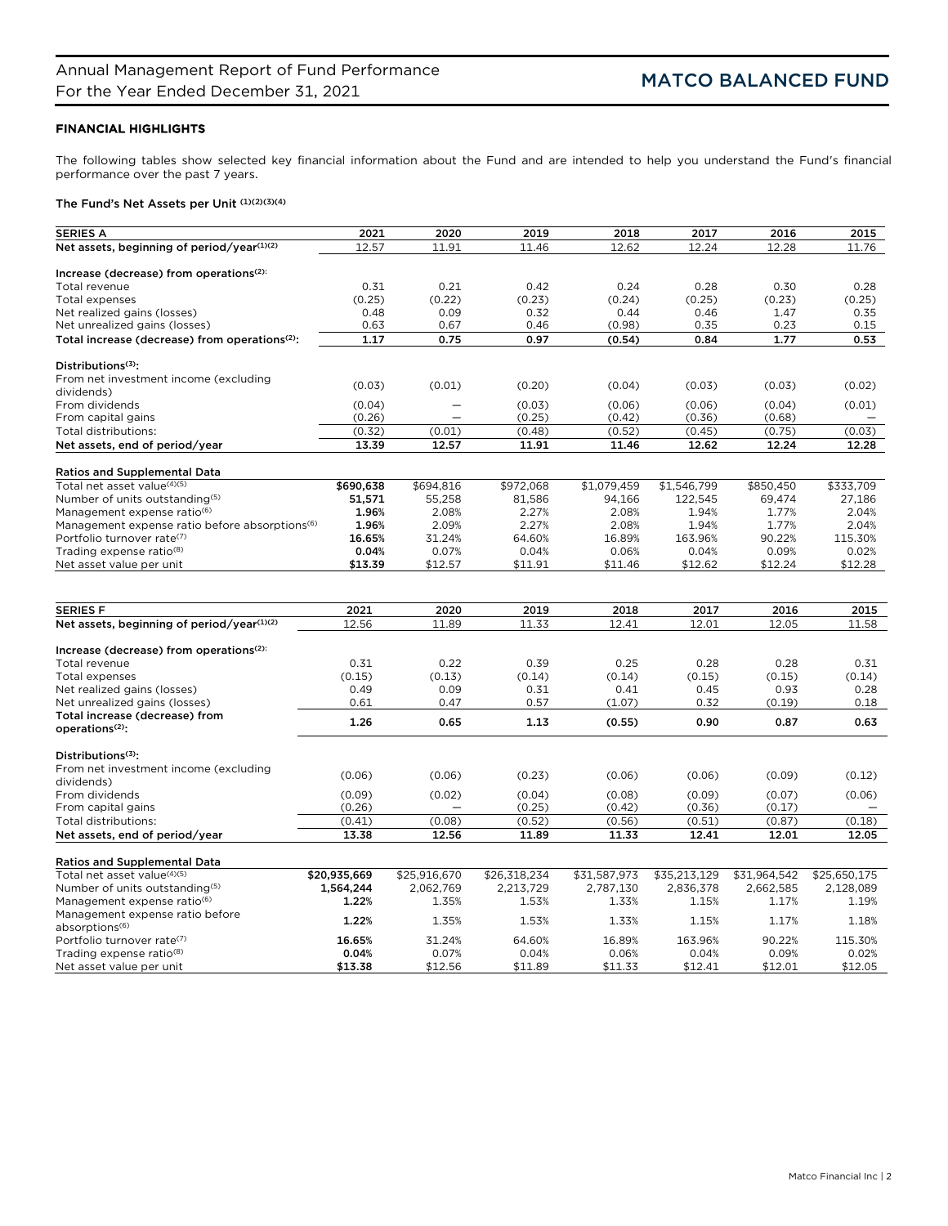# FINANCIAL HIGHLIGHTS

The following tables show selected key financial information about the Fund and are intended to help you understand the Fund's financial performance over the past 7 years.

# The Fund's Net Assets per Unit (1)(2)(3)(4)

| <b>SERIES A</b>                                               | 2021         | 2020             | 2019         | 2018         | 2017           | 2016         | 2015         |
|---------------------------------------------------------------|--------------|------------------|--------------|--------------|----------------|--------------|--------------|
| Net assets, beginning of period/year(1)(2)                    | 12.57        | 11.91            | 11.46        | 12.62        | 12.24          | 12.28        | 11.76        |
|                                                               |              |                  |              |              |                |              |              |
| Increase (decrease) from operations <sup>(2):</sup>           |              |                  |              |              |                |              |              |
| Total revenue                                                 | 0.31         | 0.21             | 0.42         | 0.24         | 0.28           | 0.30         | 0.28         |
| Total expenses                                                | (0.25)       | (0.22)           | (0.23)       | (0.24)       | (0.25)         | (0.23)       | (0.25)       |
| Net realized gains (losses)                                   | 0.48         | 0.09             | 0.32         | 0.44         | 0.46           | 1.47         | 0.35         |
| Net unrealized gains (losses)                                 | 0.63         | 0.67             | 0.46         | (0.98)       | 0.35           | 0.23         | 0.15         |
| Total increase (decrease) from operations <sup>(2)</sup> :    | 1.17         | 0.75             | 0.97         | (0.54)       | 0.84           | 1.77         | 0.53         |
| Distributions $(3)$ :                                         |              |                  |              |              |                |              |              |
| From net investment income (excluding                         |              |                  |              |              |                |              |              |
| dividends)                                                    | (0.03)       | (0.01)           | (0.20)       | (0.04)       | (0.03)         | (0.03)       | (0.02)       |
| From dividends                                                | (0.04)       |                  | (0.03)       | (0.06)       | (0.06)         | (0.04)       | (0.01)       |
| From capital gains                                            | (0.26)       |                  | (0.25)       | (0.42)       | (0.36)         | (0.68)       |              |
| Total distributions:                                          | (0.32)       | (0.01)           | (0.48)       | (0.52)       | (0.45)         | (0.75)       | (0.03)       |
| Net assets, end of period/year                                | 13.39        | 12.57            | 11.91        | 11.46        | 12.62          | 12.24        | 12.28        |
|                                                               |              |                  |              |              |                |              |              |
| <b>Ratios and Supplemental Data</b>                           |              |                  |              |              |                |              |              |
| Total net asset value(4)(5)                                   | \$690,638    | \$694,816        | \$972,068    | \$1,079,459  | \$1,546,799    | \$850,450    | \$333,709    |
| Number of units outstanding(5)                                | 51,571       | 55,258           | 81,586       | 94,166       | 122,545        | 69,474       | 27.186       |
| Management expense ratio <sup>(6)</sup>                       | 1.96%        | 2.08%            | 2.27%        | 2.08%        | 1.94%          | 1.77%        | 2.04%        |
| Management expense ratio before absorptions <sup>(6)</sup>    | 1.96%        | 2.09%            | 2.27%        | 2.08%        | 1.94%          | 1.77%        | 2.04%        |
| Portfolio turnover rate(7)                                    | 16.65%       | 31.24%           | 64.60%       | 16.89%       | 163.96%        | 90.22%       | 115.30%      |
| Trading expense ratio <sup>(8)</sup>                          | 0.04%        | 0.07%            | 0.04%        | 0.06%        | 0.04%          | 0.09%        | 0.02%        |
| Net asset value per unit                                      | \$13.39      | \$12.57          | \$11.91      | \$11.46      | \$12.62        | \$12.24      | \$12.28      |
|                                                               |              |                  |              |              |                |              |              |
|                                                               |              |                  |              |              |                |              |              |
| <b>SERIES F</b>                                               | 2021         | 2020             | 2019         | 2018         | 2017           | 2016         | 2015         |
| Net assets, beginning of period/year(1)(2)                    | 12.56        | 11.89            | 11.33        | 12.41        | 12.01          | 12.05        | 11.58        |
| Increase (decrease) from operations <sup>(2):</sup>           |              |                  |              |              |                |              |              |
| Total revenue                                                 | 0.31         | 0.22             | 0.39         | 0.25         | 0.28           | 0.28         | 0.31         |
|                                                               | (0.15)       | (0.13)           | (0.14)       | (0.14)       |                |              | (0.14)       |
| Total expenses                                                | 0.49         | 0.09             | 0.31         | 0.41         | (0.15)<br>0.45 | (0.15)       | 0.28         |
| Net realized gains (losses)                                   |              |                  |              |              |                | 0.93         |              |
| Net unrealized gains (losses)                                 | 0.61         | 0.47             | 0.57         | (1.07)       | 0.32           | (0.19)       | 0.18         |
| Total increase (decrease) from<br>operations <sup>(2)</sup> : | 1.26         | 0.65             | 1.13         | (0.55)       | 0.90           | 0.87         | 0.63         |
|                                                               |              |                  |              |              |                |              |              |
| Distributions <sup>(3)</sup> :                                |              |                  |              |              |                |              |              |
| From net investment income (excluding                         | (0.06)       | (0.06)           | (0.23)       | (0.06)       | (0.06)         | (0.09)       | (0.12)       |
| dividends)                                                    |              |                  |              |              |                |              |              |
| From dividends                                                | (0.09)       | (0.02)           | (0.04)       | (0.08)       | (0.09)         | (0.07)       | (0.06)       |
| From capital gains                                            | (0.26)       |                  | (0.25)       | (0.42)       | (0.36)         | (0.17)       |              |
| Total distributions:                                          | (0.41)       | (0.08)           | (0.52)       | (0.56)       | (0.51)         | (0.87)       | (0.18)       |
| Net assets, end of period/year                                | 13.38        | 12.56            | 11.89        | 11.33        | 12.41          | 12.01        | 12.05        |
|                                                               |              |                  |              |              |                |              |              |
| <b>Ratios and Supplemental Data</b>                           |              |                  |              |              |                |              |              |
| Total net asset value <sup>(4)(5)</sup>                       | \$20,935,669 | \$25,916,670     | \$26,318,234 | \$31,587,973 | \$35,213,129   | \$31,964,542 | \$25,650,175 |
| Number of units outstanding(5)                                | 1,564,244    | 2,062,769        | 2,213,729    | 2,787,130    | 2,836,378      | 2,662,585    | 2,128,089    |
| Management expense ratio <sup>(6)</sup>                       | 1.22%        | 1.35%            | 1.53%        | 1.33%        | 1.15%          | 1.17%        | 1.19%        |
| Management expense ratio before<br>absorptions <sup>(6)</sup> | 1.22%        | 1.35%            | 1.53%        | 1.33%        | 1.15%          | 1.17%        | 1.18%        |
|                                                               | 16.65%       | 31.24%           | 64.60%       | 16.89%       | 163.96%        | 90.22%       | 115.30%      |
| Portfolio turnover rate <sup>(7)</sup>                        | 0.04%        |                  | 0.04%        | 0.06%        | 0.04%          | 0.09%        | 0.02%        |
| Trading expense ratio <sup>(8)</sup>                          | \$13.38      | 0.07%<br>\$12.56 | \$11.89      | \$11.33      | \$12.41        | \$12.01      | \$12.05      |
| Net asset value per unit                                      |              |                  |              |              |                |              |              |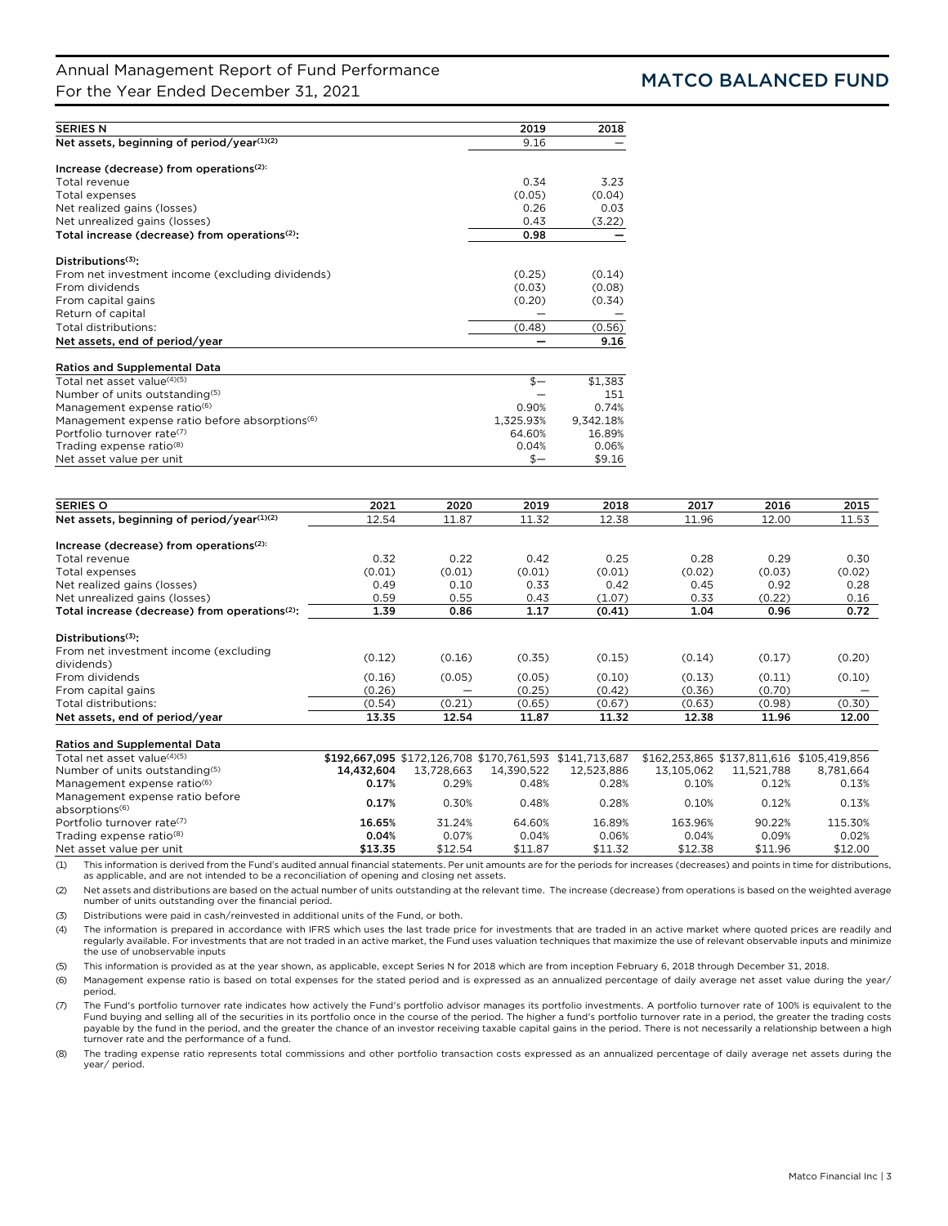# Annual Management Report of Fund Performance For the Year Ended December 31, 2021<br>For the Year Ended December 31, 2021

| <b>SERIES N</b>                                            | 2019      | 2018      |
|------------------------------------------------------------|-----------|-----------|
| Net assets, beginning of period/year(1)(2)                 | 9.16      |           |
|                                                            |           |           |
| Increase (decrease) from operations <sup>(2):</sup>        |           |           |
| Total revenue                                              | 0.34      | 3.23      |
| Total expenses                                             | (0.05)    | (0.04)    |
| Net realized gains (losses)                                | 0.26      | 0.03      |
| Net unrealized gains (losses)                              | 0.43      | (3.22)    |
| Total increase (decrease) from operations <sup>(2)</sup> : | 0.98      |           |
| Distributions <sup>(3)</sup> :                             |           |           |
| From net investment income (excluding dividends)           | (0.25)    | (0.14)    |
| From dividends                                             | (0.03)    | (0.08)    |
| From capital gains                                         | (0.20)    | (0.34)    |
| Return of capital                                          |           |           |
| Total distributions:                                       | (0.48)    | (0.56)    |
| Net assets, end of period/year                             |           | 9.16      |
| <b>Ratios and Supplemental Data</b>                        |           |           |
| Total net asset value <sup>(4)(5)</sup>                    | $$-$      | \$1,383   |
| Number of units outstanding(5)                             |           | 151       |
| Management expense ratio <sup>(6)</sup>                    | 0.90%     | 0.74%     |
| Management expense ratio before absorptions <sup>(6)</sup> | 1,325.93% | 9,342.18% |
| Portfolio turnover rate <sup>(7)</sup>                     | 64.60%    | 16.89%    |
| Trading expense ratio <sup>(8)</sup>                       | 0.04%     | 0.06%     |
| Net asset value per unit                                   | \$—       | \$9.16    |

| <b>SERIES O</b>                                               | 2021       | 2020       | 2019       | 2018                                                    | 2017       | 2016       | 2015                                      |
|---------------------------------------------------------------|------------|------------|------------|---------------------------------------------------------|------------|------------|-------------------------------------------|
| Net assets, beginning of period/year(1)(2)                    | 12.54      | 11.87      | 11.32      | 12.38                                                   | 11.96      | 12.00      | 11.53                                     |
| Increase (decrease) from operations <sup>(2):</sup>           |            |            |            |                                                         |            |            |                                           |
| Total revenue                                                 | 0.32       | 0.22       | 0.42       | 0.25                                                    | 0.28       | 0.29       | 0.30                                      |
| Total expenses                                                | (0.01)     | (0.01)     | (0.01)     | (0.01)                                                  | (0.02)     | (0.03)     | (0.02)                                    |
| Net realized gains (losses)                                   | 0.49       | 0.10       | 0.33       | 0.42                                                    | 0.45       | 0.92       | 0.28                                      |
| Net unrealized gains (losses)                                 | 0.59       | 0.55       | 0.43       | (1.07)                                                  | 0.33       | (0.22)     | 0.16                                      |
| Total increase (decrease) from operations <sup>(2)</sup> :    | 1.39       | 0.86       | 1.17       | (0.41)                                                  | 1.04       | 0.96       | 0.72                                      |
| Distributions <sup>(3)</sup> :                                |            |            |            |                                                         |            |            |                                           |
| From net investment income (excluding<br>dividends)           | (0.12)     | (0.16)     | (0.35)     | (0.15)                                                  | (0.14)     | (0.17)     | (0.20)                                    |
| From dividends                                                | (0.16)     | (0.05)     | (0.05)     | (0.10)                                                  | (0.13)     | (0.11)     | (0.10)                                    |
| From capital gains                                            | (0.26)     |            | (0.25)     | (0.42)                                                  | (0.36)     | (0.70)     |                                           |
| Total distributions:                                          | (0.54)     | (0.21)     | (0.65)     | (0.67)                                                  | (0.63)     | (0.98)     | (0.30)                                    |
| Net assets, end of period/year                                | 13.35      | 12.54      | 11.87      | 11.32                                                   | 12.38      | 11.96      | 12.00                                     |
| <b>Ratios and Supplemental Data</b>                           |            |            |            |                                                         |            |            |                                           |
| Total net asset value(4)(5)                                   |            |            |            | \$192,667,095 \$172,126,708 \$170,761,593 \$141,713,687 |            |            | \$162.253.865 \$137.811.616 \$105.419.856 |
| Number of units outstanding(5)                                | 14,432,604 | 13,728,663 | 14,390,522 | 12,523,886                                              | 13,105,062 | 11,521,788 | 8,781,664                                 |
| Management expense ratio <sup>(6)</sup>                       | 0.17%      | 0.29%      | 0.48%      | 0.28%                                                   | 0.10%      | 0.12%      | 0.13%                                     |
| Management expense ratio before<br>absorptions <sup>(6)</sup> | 0.17%      | 0.30%      | 0.48%      | 0.28%                                                   | 0.10%      | 0.12%      | 0.13%                                     |
| Portfolio turnover rate <sup>(7)</sup>                        | 16.65%     | 31.24%     | 64.60%     | 16.89%                                                  | 163.96%    | 90.22%     | 115.30%                                   |

Trading expense ratio(8) 0.04% 0.07% 0.04% 0.06% 0.04% 0.09% 0.02% Net asset value per unit \$13.35 (1) This information is derived from the Fund's audited annual financial statements. Per unit amounts are for the periods for increases (decreases) and points in time for distributions,

as applicable, and are not intended to be a reconciliation of opening and closing net assets.

(2) Net assets and distributions are based on the actual number of units outstanding at the relevant time. The increase (decrease) from operations is based on the weighted average number of units outstanding over the financial period.

(3) Distributions were paid in cash/reinvested in additional units of the Fund, or both.

The information is prepared in accordance with IFRS which uses the last trade price for investments that are traded in an active market where quoted prices are readily and (4) The information is prepared in accordance with the use of unobservable inputs

(5) This information is provided as at the year shown, as applicable, except Series N for 2018 which are from inception February 6, 2018 through December 31, 2018.

(6) Management expense ratio is based on total expenses for the stated period and is expressed as an annualized percentage of daily average net asset value during the year/ period.

(7) The Fund's portfolio turnover rate indicates how actively the Fund's portfolio advisor manages its portfolio investments. A portfolio turnover rate of 100% is equivalent to the Fund buying and selling all of the securities in its portfolio once in the course of the period. The higher a fund's portfolio turnover rate in a period, the greater the trading costs payable by the fund in the period, and the greater the chance of an investor receiving taxable capital gains in the period. There is not necessarily a relationship between a high turnover rate and the performance of a fund.

(8) The trading expense ratio represents total commissions and other portfolio transaction costs expressed as an annualized percentage of daily average net assets during the year/ period.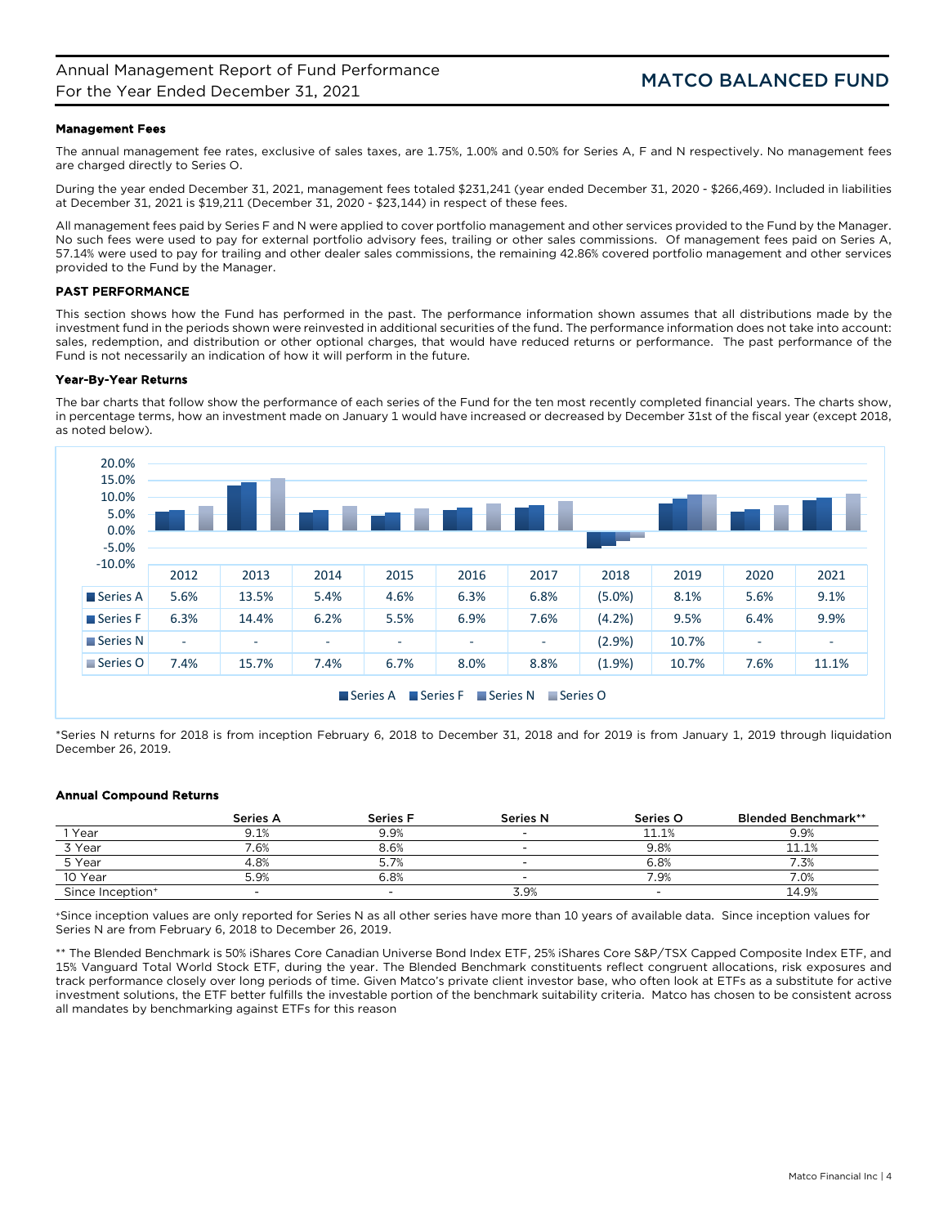## Management Fees

The annual management fee rates, exclusive of sales taxes, are 1.75%, 1.00% and 0.50% for Series A, F and N respectively. No management fees are charged directly to Series O.

During the year ended December 31, 2021, management fees totaled \$231,241 (year ended December 31, 2020 - \$266,469). Included in liabilities at December 31, 2021 is \$19,211 (December 31, 2020 - \$23,144) in respect of these fees.

All management fees paid by Series F and N were applied to cover portfolio management and other services provided to the Fund by the Manager. No such fees were used to pay for external portfolio advisory fees, trailing or other sales commissions. Of management fees paid on Series A, 57.14% were used to pay for trailing and other dealer sales commissions, the remaining 42.86% covered portfolio management and other services provided to the Fund by the Manager.

## PAST PERFORMANCE

This section shows how the Fund has performed in the past. The performance information shown assumes that all distributions made by the investment fund in the periods shown were reinvested in additional securities of the fund. The performance information does not take into account: sales, redemption, and distribution or other optional charges, that would have reduced returns or performance. The past performance of the Fund is not necessarily an indication of how it will perform in the future.

## Year-By-Year Returns

The bar charts that follow show the performance of each series of the Fund for the ten most recently completed financial years. The charts show, in percentage terms, how an investment made on January 1 would have increased or decreased by December 31st of the fiscal year (except 2018, as noted below).



\*Series N returns for 2018 is from inception February 6, 2018 to December 31, 2018 and for 2019 is from January 1, 2019 through liquidation December 26, 2019.

## Annual Compound Returns

|                              | <b>Series A</b> | Series F | <b>Series N</b> | Series O | <b>Blended Benchmark**</b> |
|------------------------------|-----------------|----------|-----------------|----------|----------------------------|
| Year                         | Э.1%            | 9.9%     | -               | 11.1%    | 9.9%                       |
| 3 Year                       | .6%             | 8.6%     |                 | 9.8%     | 11.1%                      |
| 5 Year                       | 4.8%            |          |                 | 6.8%     | '.3%                       |
| 10 Year                      | 5.9%            | 6.8%     | -               | 7.9%     | 7.0%                       |
| Since Inception <sup>+</sup> |                 |          | 3.9%            | -        | 14.9%                      |

+Since inception values are only reported for Series N as all other series have more than 10 years of available data. Since inception values for Series N are from February 6, 2018 to December 26, 2019.

\*\* The Blended Benchmark is 50% iShares Core Canadian Universe Bond Index ETF, 25% iShares Core S&P/TSX Capped Composite Index ETF, and 15% Vanguard Total World Stock ETF, during the year. The Blended Benchmark constituents reflect congruent allocations, risk exposures and track performance closely over long periods of time. Given Matco's private client investor base, who often look at ETFs as a substitute for active investment solutions, the ETF better fulfills the investable portion of the benchmark suitability criteria. Matco has chosen to be consistent across all mandates by benchmarking against ETFs for this reason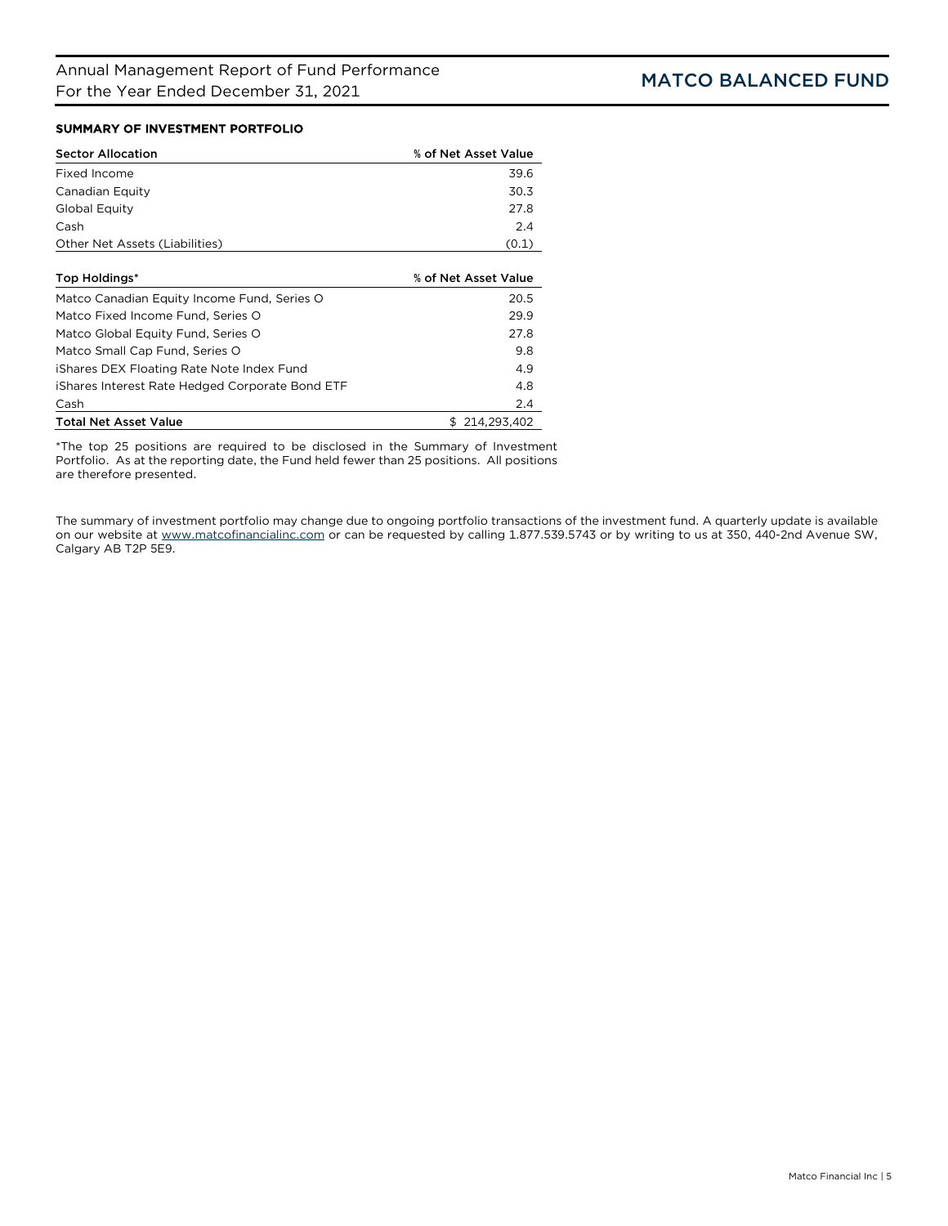# SUMMARY OF INVESTMENT PORTFOLIO

| <b>Sector Allocation</b>                        | % of Net Asset Value |
|-------------------------------------------------|----------------------|
| Fixed Income                                    | 39.6                 |
| Canadian Equity                                 | 30.3                 |
| Global Equity                                   | 27.8                 |
| Cash                                            | 2.4                  |
| Other Net Assets (Liabilities)                  | (0.1)                |
|                                                 |                      |
| Top Holdings*                                   | % of Net Asset Value |
| Matco Canadian Equity Income Fund, Series O     | 20.5                 |
| Matco Fixed Income Fund. Series O               | 29.9                 |
| Matco Global Equity Fund, Series O              | 27.8                 |
| Matco Small Cap Fund, Series O                  | 9.8                  |
| iShares DEX Floating Rate Note Index Fund       | 4.9                  |
| iShares Interest Rate Hedged Corporate Bond ETF | 4.8                  |
| Cash                                            | $2\Delta$            |

Cash 2.4 Total Net Asset Value  $$214,293,402$ 

\*The top 25 positions are required to be disclosed in the Summary of Investment Portfolio. As at the reporting date, the Fund held fewer than 25 positions. All positions are therefore presented.

The summary of investment portfolio may change due to ongoing portfolio transactions of the investment fund. A quarterly update is available on our website at [www.matcofinancialinc.com](http://www.matcofinancialinc.com/) or can be requested by calling 1.877.539.5743 or by writing to us at 350, 440-2nd Avenue SW, Calgary AB T2P 5E9.